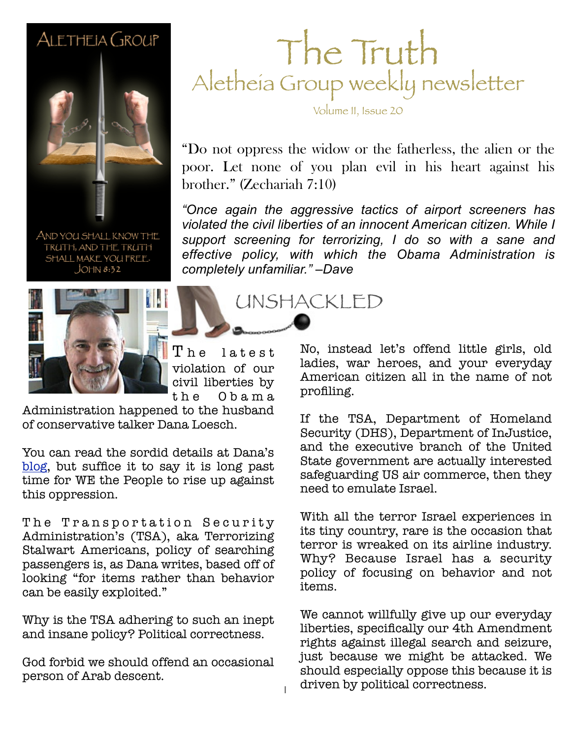#### ALETHEIA GROUP



AND YOU SHALL KNOW THE TRUTH, AND THE TRUTH SHALL MAKE YOU FREE.  $JOHM 8:32$ 



 $\rm T$  he latest violation of our civil liberties by t h e O b a m a

Administration happened to the husband of conservative talker Dana Loesch.

You can read the sordid details at Dana's [blog,](http://thedanashow.wordpress.com/2012/06/10/a-date-with-the-tsa/) but suffice it to say it is long past time for WE the People to rise up against this oppression.

The Transportation Security Administration's (TSA), aka Terrorizing Stalwart Americans, policy of searching passengers is, as Dana writes, based off of looking "for items rather than behavior can be easily exploited."

Why is the TSA adhering to such an inept and insane policy? Political correctness.

God forbid we should offend an occasional person of Arab descent.

### The Truth Aletheia Group weekly newsletter

Volume II, Issue 20

"Do not oppress the widow or the fatherless, the alien or the poor. Let none of you plan evil in his heart against his brother." (Zechariah 7:10)

**February 26, 2011 Sample** *"Once again the aggressive tactics of airport screeners has violated the civil liberties of an innocent American citizen. While I support screening for terrorizing, I do so with a sane and effective policy, with which the Obama Administration is completely unfamiliar." –Dave*

UNSHACKLED

No, instead let's offend little girls, old ladies, war heroes, and your everyday American citizen all in the name of not profiling.

If the TSA, Department of Homeland Security (DHS), Department of InJustice, and the executive branch of the United State government are actually interested safeguarding US air commerce, then they need to emulate Israel.

With all the terror Israel experiences in its tiny country, rare is the occasion that terror is wreaked on its airline industry. Why? Because Israel has a security policy of focusing on behavior and not items.

We cannot willfully give up our everyday liberties, specifically our 4th Amendment rights against illegal search and seizure, just because we might be attacked. We should especially oppose this because it is driven by political correctness.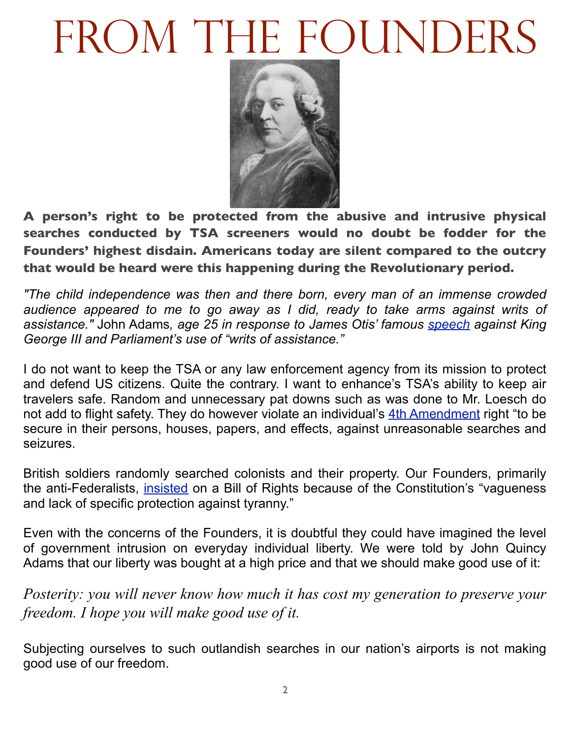## FROM THE FOUNDERS



**A person's right to be protected from the abusive and intrusive physical searches conducted by TSA screeners would no doubt be fodder for the Founders' highest disdain. Americans today are silent compared to the outcry that would be heard were this happening during the Revolutionary period.** 

*"The child independence was then and there born, every man of an immense crowded audience appeared to me to go away as I did, ready to take arms against writs of assistance."* John Adams*, age 25 in response to James Otis' famous [speech](http://www.revolutionary-war-and-beyond.com/4th-amendment.html) against King George III and Parliament's use of "writs of assistance."*

I do not want to keep the TSA or any law enforcement agency from its mission to protect and defend US citizens. Quite the contrary. I want to enhance's TSA's ability to keep air travelers safe. Random and unnecessary pat downs such as was done to Mr. Loesch do not add to flight safety. They do however violate an individual's [4th Amendment](http://www.archives.gov/exhibits/charters/bill_of_rights_transcript.html) right "to be secure in their persons, houses, papers, and effects, against unreasonable searches and seizures.

British soldiers randomly searched colonists and their property. Our Founders, primarily the anti-Federalists, [insisted](http://www.archives.gov/exhibits/charters/constitution_history.html) on a Bill of Rights because of the Constitution's "vagueness and lack of specific protection against tyranny."

Even with the concerns of the Founders, it is doubtful they could have imagined the level of government intrusion on everyday individual liberty. We were told by John Quincy Adams that our liberty was bought at a high price and that we should make good use of it:

*Posterity: you will never know how much it has cost my generation to preserve your freedom. I hope you will make good use of it.* 

Subjecting ourselves to such outlandish searches in our nation's airports is not making good use of our freedom.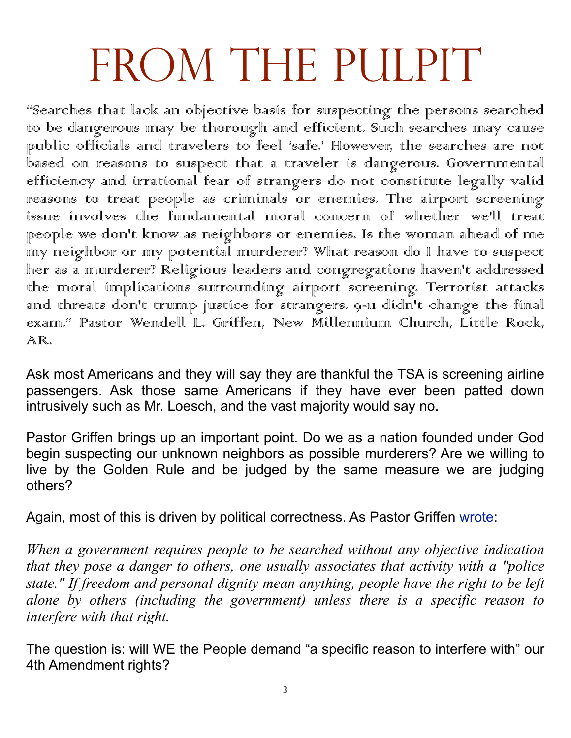# FROM THE PULPIT

"Searches that lack an objective basis for suspecting the persons searched to be dangerous may be thorough and efficient. Such searches may cause public officials and travelers to feel 'safe.' However, the searches are not .<br>based on reasons to suspect that a traveler is dangerous. Governmental efficiency and irrational fear of strangers do not constitute legally valid reasons to treat people as criminals or enemies. The airport screening issue involves the fundamental moral concern of whether we'll treat people we don't know as neighbors or enemies. Is the woman ahead of me my neighbor or my potential murderer? What reason do I have to suspect her as a murderer? Religious leaders and congregations haven't addressed the moral implications surrounding airport screening. Terrorist attacks and threats don't trump justice for strangers. 9-11 didn't change the final exam." Pastor Wendell L. Griffen, New Millennium Church, Little Rock, AR.

Ask most Americans and they will say they are thankful the TSA is screening airline passengers. Ask those same Americans if they have ever been patted down intrusively such as Mr. Loesch, and the vast majority would say no.

Pastor Griffen brings up an important point. Do we as a nation founded under God begin suspecting our unknown neighbors as possible murderers? Are we willing to live by the Golden Rule and be judged by the same measure we are judging others?

Again, most of this is driven by political correctness. As Pastor Griffen [wrote:](http://ethicsdaily.com/do-airport-searches-violate-4th-amendment-cms-17115-printer)

*When a government requires people to be searched without any objective indication that they pose a danger to others, one usually associates that activity with a "police state." If freedom and personal dignity mean anything, people have the right to be left alone by others (including the government) unless there is a specific reason to interfere with that right.*

The question is: will WE the People demand "a specific reason to interfere with" our 4th Amendment rights?